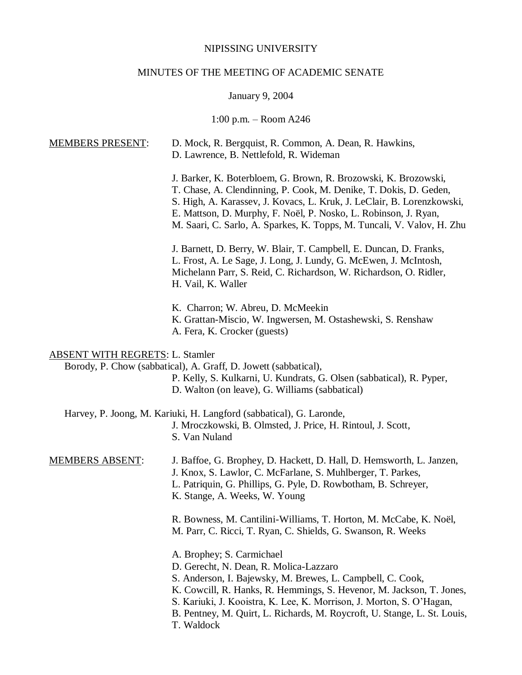# NIPISSING UNIVERSITY

# MINUTES OF THE MEETING OF ACADEMIC SENATE

# January 9, 2004

# 1:00 p.m. – Room A246

| <b>MEMBERS PRESENT:</b>                | D. Mock, R. Bergquist, R. Common, A. Dean, R. Hawkins,<br>D. Lawrence, B. Nettlefold, R. Wideman                                                                                                                                                                                                                                                                            |
|----------------------------------------|-----------------------------------------------------------------------------------------------------------------------------------------------------------------------------------------------------------------------------------------------------------------------------------------------------------------------------------------------------------------------------|
|                                        | J. Barker, K. Boterbloem, G. Brown, R. Brozowski, K. Brozowski,<br>T. Chase, A. Clendinning, P. Cook, M. Denike, T. Dokis, D. Geden,<br>S. High, A. Karassev, J. Kovacs, L. Kruk, J. LeClair, B. Lorenzkowski,<br>E. Mattson, D. Murphy, F. Noël, P. Nosko, L. Robinson, J. Ryan,<br>M. Saari, C. Sarlo, A. Sparkes, K. Topps, M. Tuncali, V. Valov, H. Zhu                 |
|                                        | J. Barnett, D. Berry, W. Blair, T. Campbell, E. Duncan, D. Franks,<br>L. Frost, A. Le Sage, J. Long, J. Lundy, G. McEwen, J. McIntosh,<br>Michelann Parr, S. Reid, C. Richardson, W. Richardson, O. Ridler,<br>H. Vail, K. Waller                                                                                                                                           |
|                                        | K. Charron; W. Abreu, D. McMeekin<br>K. Grattan-Miscio, W. Ingwersen, M. Ostashewski, S. Renshaw<br>A. Fera, K. Crocker (guests)                                                                                                                                                                                                                                            |
| <b>ABSENT WITH REGRETS: L. Stamler</b> | Borody, P. Chow (sabbatical), A. Graff, D. Jowett (sabbatical),<br>P. Kelly, S. Kulkarni, U. Kundrats, G. Olsen (sabbatical), R. Pyper,<br>D. Walton (on leave), G. Williams (sabbatical)                                                                                                                                                                                   |
|                                        | Harvey, P. Joong, M. Kariuki, H. Langford (sabbatical), G. Laronde,<br>J. Mroczkowski, B. Olmsted, J. Price, H. Rintoul, J. Scott,<br>S. Van Nuland                                                                                                                                                                                                                         |
| <b>MEMBERS ABSENT:</b>                 | J. Baffoe, G. Brophey, D. Hackett, D. Hall, D. Hemsworth, L. Janzen,<br>J. Knox, S. Lawlor, C. McFarlane, S. Muhlberger, T. Parkes,<br>L. Patriquin, G. Phillips, G. Pyle, D. Rowbotham, B. Schreyer,<br>K. Stange, A. Weeks, W. Young                                                                                                                                      |
|                                        | R. Bowness, M. Cantilini-Williams, T. Horton, M. McCabe, K. Noël,<br>M. Parr, C. Ricci, T. Ryan, C. Shields, G. Swanson, R. Weeks                                                                                                                                                                                                                                           |
|                                        | A. Brophey; S. Carmichael<br>D. Gerecht, N. Dean, R. Molica-Lazzaro<br>S. Anderson, I. Bajewsky, M. Brewes, L. Campbell, C. Cook,<br>K. Cowcill, R. Hanks, R. Hemmings, S. Hevenor, M. Jackson, T. Jones,<br>S. Kariuki, J. Kooistra, K. Lee, K. Morrison, J. Morton, S. O'Hagan,<br>B. Pentney, M. Quirt, L. Richards, M. Roycroft, U. Stange, L. St. Louis,<br>T. Waldock |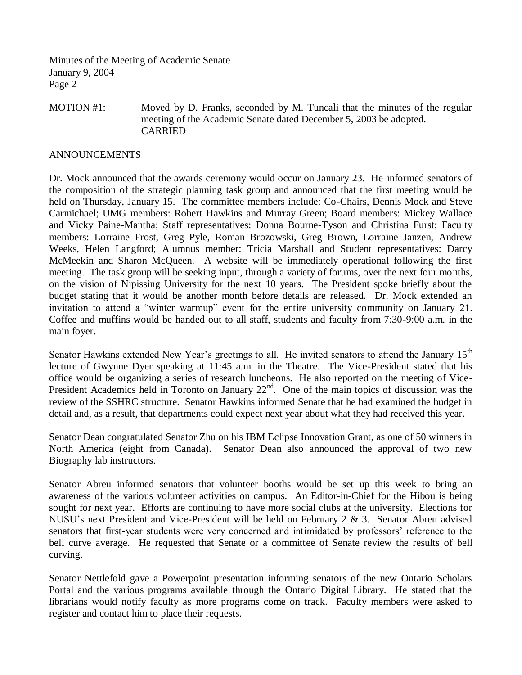Minutes of the Meeting of Academic Senate January 9, 2004 Page 2

### MOTION #1: Moved by D. Franks, seconded by M. Tuncali that the minutes of the regular meeting of the Academic Senate dated December 5, 2003 be adopted. CARRIED

### **ANNOUNCEMENTS**

Dr. Mock announced that the awards ceremony would occur on January 23. He informed senators of the composition of the strategic planning task group and announced that the first meeting would be held on Thursday, January 15. The committee members include: Co-Chairs, Dennis Mock and Steve Carmichael; UMG members: Robert Hawkins and Murray Green; Board members: Mickey Wallace and Vicky Paine-Mantha; Staff representatives: Donna Bourne-Tyson and Christina Furst; Faculty members: Lorraine Frost, Greg Pyle, Roman Brozowski, Greg Brown, Lorraine Janzen, Andrew Weeks, Helen Langford; Alumnus member: Tricia Marshall and Student representatives: Darcy McMeekin and Sharon McQueen. A website will be immediately operational following the first meeting. The task group will be seeking input, through a variety of forums, over the next four months, on the vision of Nipissing University for the next 10 years. The President spoke briefly about the budget stating that it would be another month before details are released. Dr. Mock extended an invitation to attend a "winter warmup" event for the entire university community on January 21. Coffee and muffins would be handed out to all staff, students and faculty from 7:30-9:00 a.m. in the main foyer.

Senator Hawkins extended New Year's greetings to all. He invited senators to attend the January  $15<sup>th</sup>$ lecture of Gwynne Dyer speaking at 11:45 a.m. in the Theatre. The Vice-President stated that his office would be organizing a series of research luncheons. He also reported on the meeting of Vice-President Academics held in Toronto on January  $22<sup>nd</sup>$ . One of the main topics of discussion was the review of the SSHRC structure. Senator Hawkins informed Senate that he had examined the budget in detail and, as a result, that departments could expect next year about what they had received this year.

Senator Dean congratulated Senator Zhu on his IBM Eclipse Innovation Grant, as one of 50 winners in North America (eight from Canada). Senator Dean also announced the approval of two new Biography lab instructors.

Senator Abreu informed senators that volunteer booths would be set up this week to bring an awareness of the various volunteer activities on campus. An Editor-in-Chief for the Hibou is being sought for next year. Efforts are continuing to have more social clubs at the university. Elections for NUSU's next President and Vice-President will be held on February 2 & 3. Senator Abreu advised senators that first-year students were very concerned and intimidated by professors' reference to the bell curve average. He requested that Senate or a committee of Senate review the results of bell curving.

Senator Nettlefold gave a Powerpoint presentation informing senators of the new Ontario Scholars Portal and the various programs available through the Ontario Digital Library. He stated that the librarians would notify faculty as more programs come on track. Faculty members were asked to register and contact him to place their requests.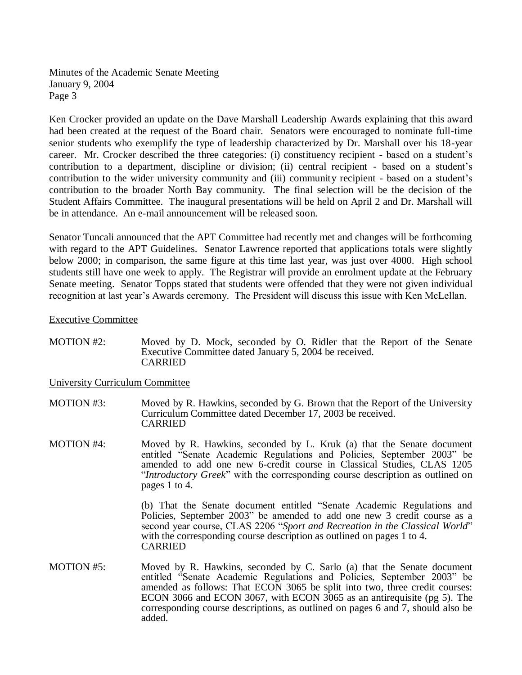Ken Crocker provided an update on the Dave Marshall Leadership Awards explaining that this award had been created at the request of the Board chair. Senators were encouraged to nominate full-time senior students who exemplify the type of leadership characterized by Dr. Marshall over his 18-year career. Mr. Crocker described the three categories: (i) constituency recipient - based on a student's contribution to a department, discipline or division; (ii) central recipient - based on a student's contribution to the wider university community and (iii) community recipient - based on a student's contribution to the broader North Bay community. The final selection will be the decision of the Student Affairs Committee. The inaugural presentations will be held on April 2 and Dr. Marshall will be in attendance. An e-mail announcement will be released soon.

Senator Tuncali announced that the APT Committee had recently met and changes will be forthcoming with regard to the APT Guidelines. Senator Lawrence reported that applications totals were slightly below 2000; in comparison, the same figure at this time last year, was just over 4000. High school students still have one week to apply. The Registrar will provide an enrolment update at the February Senate meeting. Senator Topps stated that students were offended that they were not given individual recognition at last year's Awards ceremony. The President will discuss this issue with Ken McLellan.

### Executive Committee

MOTION #2: Moved by D. Mock, seconded by O. Ridler that the Report of the Senate Executive Committee dated January 5, 2004 be received. CARRIED

## University Curriculum Committee

- MOTION #3: Moved by R. Hawkins, seconded by G. Brown that the Report of the University Curriculum Committee dated December 17, 2003 be received. CARRIED
- MOTION #4: Moved by R. Hawkins, seconded by L. Kruk (a) that the Senate document entitled "Senate Academic Regulations and Policies, September 2003" be amended to add one new 6-credit course in Classical Studies, CLAS 1205 "*Introductory Greek*" with the corresponding course description as outlined on pages 1 to 4.

(b) That the Senate document entitled "Senate Academic Regulations and Policies, September 2003" be amended to add one new 3 credit course as a second year course, CLAS 2206 "*Sport and Recreation in the Classical World*" with the corresponding course description as outlined on pages 1 to 4. CARRIED

MOTION #5: Moved by R. Hawkins, seconded by C. Sarlo (a) that the Senate document entitled "Senate Academic Regulations and Policies, September 2003" be amended as follows: That ECON 3065 be split into two, three credit courses: ECON 3066 and ECON 3067, with ECON 3065 as an antirequisite (pg 5). The corresponding course descriptions, as outlined on pages 6 and 7, should also be added.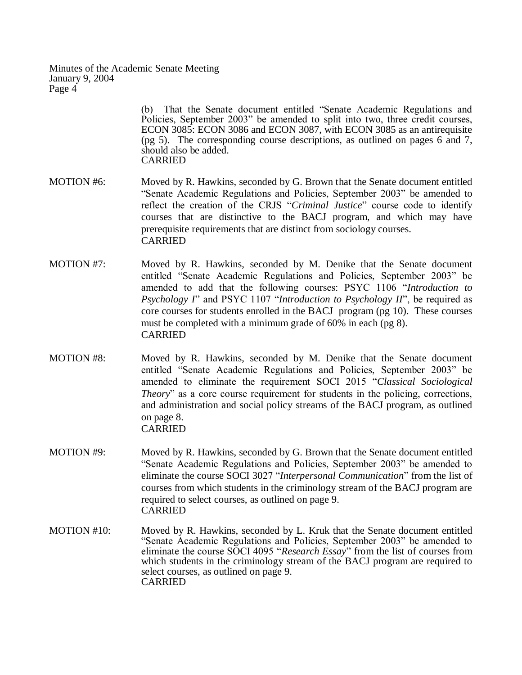> (b) That the Senate document entitled "Senate Academic Regulations and Policies, September 2003" be amended to split into two, three credit courses, ECON 3085: ECON 3086 and ECON 3087, with ECON 3085 as an antirequisite (pg 5). The corresponding course descriptions, as outlined on pages 6 and 7, should also be added. CARRIED

- MOTION #6: Moved by R. Hawkins, seconded by G. Brown that the Senate document entitled "Senate Academic Regulations and Policies, September 2003" be amended to reflect the creation of the CRJS "*Criminal Justice*" course code to identify courses that are distinctive to the BACJ program, and which may have prerequisite requirements that are distinct from sociology courses. CARRIED
- MOTION #7: Moved by R. Hawkins, seconded by M. Denike that the Senate document entitled "Senate Academic Regulations and Policies, September 2003" be amended to add that the following courses: PSYC 1106 "*Introduction to Psychology I*" and PSYC 1107 "*Introduction to Psychology II*", be required as core courses for students enrolled in the BACJ program (pg 10). These courses must be completed with a minimum grade of 60% in each (pg 8). CARRIED
- MOTION #8: Moved by R. Hawkins, seconded by M. Denike that the Senate document entitled "Senate Academic Regulations and Policies, September 2003" be amended to eliminate the requirement SOCI 2015 "*Classical Sociological Theory*" as a core course requirement for students in the policing, corrections, and administration and social policy streams of the BACJ program, as outlined on page 8. CARRIED
- MOTION #9: Moved by R. Hawkins, seconded by G. Brown that the Senate document entitled "Senate Academic Regulations and Policies, September 2003" be amended to eliminate the course SOCI 3027 "*Interpersonal Communication*" from the list of courses from which students in the criminology stream of the BACJ program are required to select courses, as outlined on page 9. CARRIED
- MOTION #10: Moved by R. Hawkins, seconded by L. Kruk that the Senate document entitled "Senate Academic Regulations and Policies, September 2003" be amended to eliminate the course SOCI 4095 "*Research Essay*" from the list of courses from which students in the criminology stream of the BACJ program are required to select courses, as outlined on page 9. CARRIED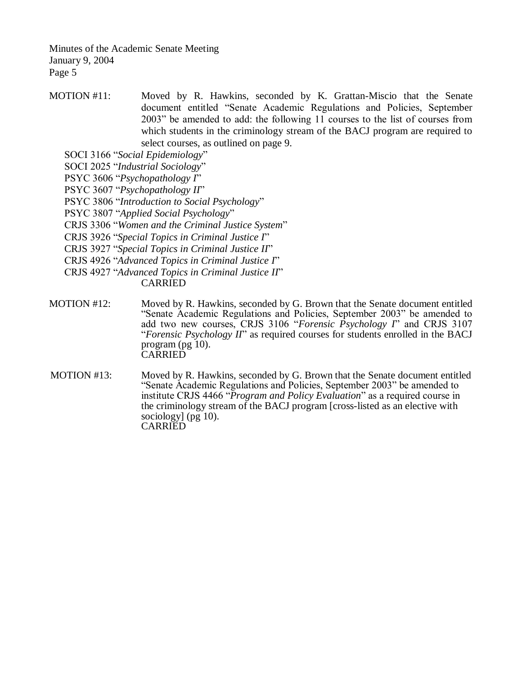MOTION #11: Moved by R. Hawkins, seconded by K. Grattan-Miscio that the Senate document entitled "Senate Academic Regulations and Policies, September 2003" be amended to add: the following 11 courses to the list of courses from which students in the criminology stream of the BACJ program are required to select courses, as outlined on page 9.

SOCI 3166 "*Social Epidemiology*"

SOCI 2025 "*Industrial Sociology*"

- PSYC 3606 "*Psychopathology I*"
- PSYC 3607 "*Psychopathology II*"
- PSYC 3806 "*Introduction to Social Psychology*"
- PSYC 3807 "*Applied Social Psychology*"
- CRJS 3306 "*Women and the Criminal Justice System*"

CRJS 3926 "*Special Topics in Criminal Justice I*"

CRJS 3927 "*Special Topics in Criminal Justice II*"

CRJS 4926 "*Advanced Topics in Criminal Justice I*"

CRJS 4927 "*Advanced Topics in Criminal Justice II*" CARRIED

- MOTION #12: Moved by R. Hawkins, seconded by G. Brown that the Senate document entitled "Senate Academic Regulations and Policies, September 2003" be amended to add two new courses, CRJS 3106 "*Forensic Psychology I*" and CRJS 3107 "*Forensic Psychology II*" as required courses for students enrolled in the BACJ program (pg 10). **CARRIED**
- MOTION #13: Moved by R. Hawkins, seconded by G. Brown that the Senate document entitled "Senate Academic Regulations and Policies, September 2003" be amended to institute CRJS 4466 "*Program and Policy Evaluation*" as a required course in the criminology stream of the BACJ program [cross-listed as an elective with sociology] (pg 10). CARRIED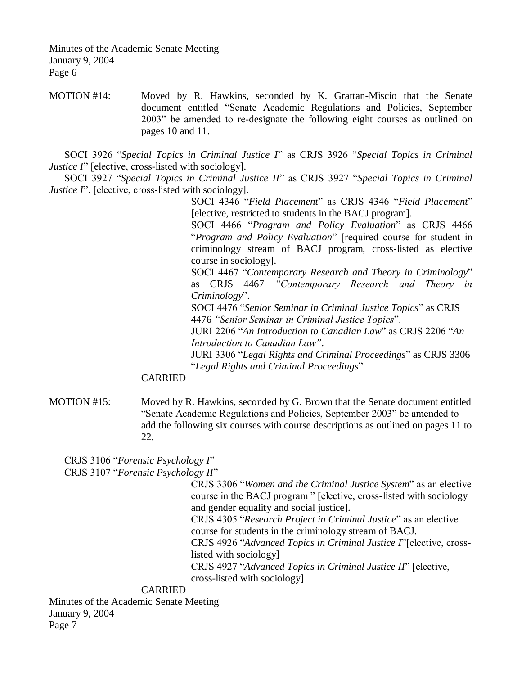MOTION #14: Moved by R. Hawkins, seconded by K. Grattan-Miscio that the Senate document entitled "Senate Academic Regulations and Policies, September 2003" be amended to re-designate the following eight courses as outlined on pages 10 and 11.

SOCI 3926 "*Special Topics in Criminal Justice I*" as CRJS 3926 "*Special Topics in Criminal Justice I*" [elective, cross-listed with sociology].

SOCI 3927 "*Special Topics in Criminal Justice II*" as CRJS 3927 "*Special Topics in Criminal Justice I*". [elective, cross-listed with sociology].

> SOCI 4346 "*Field Placement*" as CRJS 4346 "*Field Placement*" [elective, restricted to students in the BACJ program].

> SOCI 4466 "*Program and Policy Evaluation*" as CRJS 4466 "*Program and Policy Evaluation*" [required course for student in criminology stream of BACJ program, cross-listed as elective course in sociology].

> SOCI 4467 "*Contemporary Research and Theory in Criminology*" as CRJS 4467 *"Contemporary Research and Theory in Criminology*".

SOCI 4476 "*Senior Seminar in Criminal Justice Topics*" as CRJS 4476 *"Senior Seminar in Criminal Justice Topics*".

JURI 2206 "*An Introduction to Canadian Law*" as CRJS 2206 "*An Introduction to Canadian Law"*.

JURI 3306 "*Legal Rights and Criminal Proceedings*" as CRJS 3306 "*Legal Rights and Criminal Proceedings*"

## CARRIED

MOTION #15: Moved by R. Hawkins, seconded by G. Brown that the Senate document entitled "Senate Academic Regulations and Policies, September 2003" be amended to add the following six courses with course descriptions as outlined on pages 11 to 22.

CRJS 3106 "*Forensic Psychology I*" CRJS 3107 "*Forensic Psychology II*"

> CRJS 3306 "*Women and the Criminal Justice System*" as an elective course in the BACJ program " [elective, cross-listed with sociology and gender equality and social justice].

CRJS 4305 "*Research Project in Criminal Justice*" as an elective course for students in the criminology stream of BACJ.

CRJS 4926 "*Advanced Topics in Criminal Justice I*"[elective, crosslisted with sociology]

CRJS 4927 "*Advanced Topics in Criminal Justice II*" [elective,

cross-listed with sociology]

#### CARRIED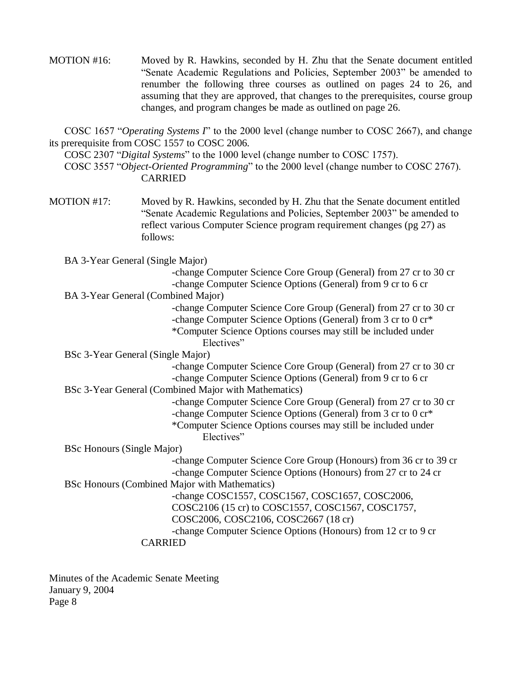MOTION #16: Moved by R. Hawkins, seconded by H. Zhu that the Senate document entitled "Senate Academic Regulations and Policies, September 2003" be amended to renumber the following three courses as outlined on pages 24 to 26, and assuming that they are approved, that changes to the prerequisites, course group changes, and program changes be made as outlined on page 26.

COSC 1657 "*Operating Systems I*" to the 2000 level (change number to COSC 2667), and change its prerequisite from COSC 1557 to COSC 2006.

COSC 2307 "*Digital Systems*" to the 1000 level (change number to COSC 1757).

COSC 3557 "*Object-Oriented Programming*" to the 2000 level (change number to COSC 2767). CARRIED

MOTION #17: Moved by R. Hawkins, seconded by H. Zhu that the Senate document entitled "Senate Academic Regulations and Policies, September 2003" be amended to reflect various Computer Science program requirement changes (pg 27) as follows:

BA 3-Year General (Single Major)

-change Computer Science Core Group (General) from 27 cr to 30 cr -change Computer Science Options (General) from 9 cr to 6 cr

BA 3-Year General (Combined Major)

-change Computer Science Core Group (General) from 27 cr to 30 cr -change Computer Science Options (General) from 3 cr to 0 cr\* \*Computer Science Options courses may still be included under Electives"

BSc 3-Year General (Single Major)

-change Computer Science Core Group (General) from 27 cr to 30 cr -change Computer Science Options (General) from 9 cr to 6 cr

BSc 3-Year General (Combined Major with Mathematics)

-change Computer Science Core Group (General) from 27 cr to 30 cr -change Computer Science Options (General) from 3 cr to 0 cr\* \*Computer Science Options courses may still be included under Electives"

BSc Honours (Single Major)

-change Computer Science Core Group (Honours) from 36 cr to 39 cr -change Computer Science Options (Honours) from 27 cr to 24 cr

BSc Honours (Combined Major with Mathematics)

-change COSC1557, COSC1567, COSC1657, COSC2006, COSC2106 (15 cr) to COSC1557, COSC1567, COSC1757,

# COSC2006, COSC2106, COSC2667 (18 cr)

-change Computer Science Options (Honours) from 12 cr to 9 cr

CARRIED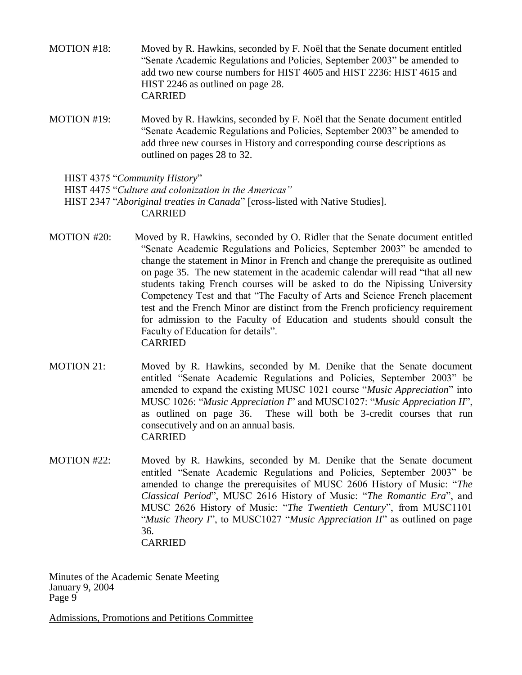- MOTION #18: Moved by R. Hawkins, seconded by F. Noël that the Senate document entitled "Senate Academic Regulations and Policies, September 2003" be amended to add two new course numbers for HIST 4605 and HIST 2236: HIST 4615 and HIST 2246 as outlined on page 28. CARRIED
- MOTION #19: Moved by R. Hawkins, seconded by F. Noël that the Senate document entitled "Senate Academic Regulations and Policies, September 2003" be amended to add three new courses in History and corresponding course descriptions as outlined on pages 28 to 32.

HIST 4375 "*Community History*"

HIST 4475 "*Culture and colonization in the Americas"*

- HIST 2347 "*Aboriginal treaties in Canada*" [cross-listed with Native Studies]. CARRIED
- MOTION #20: Moved by R. Hawkins, seconded by O. Ridler that the Senate document entitled "Senate Academic Regulations and Policies, September 2003" be amended to change the statement in Minor in French and change the prerequisite as outlined on page 35. The new statement in the academic calendar will read "that all new students taking French courses will be asked to do the Nipissing University Competency Test and that "The Faculty of Arts and Science French placement test and the French Minor are distinct from the French proficiency requirement for admission to the Faculty of Education and students should consult the Faculty of Education for details". CARRIED
- MOTION 21: Moved by R. Hawkins, seconded by M. Denike that the Senate document entitled "Senate Academic Regulations and Policies, September 2003" be amended to expand the existing MUSC 1021 course "*Music Appreciation*" into MUSC 1026: "*Music Appreciation I*" and MUSC1027: "*Music Appreciation II*", as outlined on page 36. These will both be 3-credit courses that run consecutively and on an annual basis. CARRIED
- MOTION #22: Moved by R. Hawkins, seconded by M. Denike that the Senate document entitled "Senate Academic Regulations and Policies, September 2003" be amended to change the prerequisites of MUSC 2606 History of Music: "*The Classical Period*", MUSC 2616 History of Music: "*The Romantic Era*", and MUSC 2626 History of Music: "*The Twentieth Century*", from MUSC1101 "*Music Theory I*", to MUSC1027 "*Music Appreciation II*" as outlined on page 36. CARRIED

Minutes of the Academic Senate Meeting January 9, 2004 Page 9

Admissions, Promotions and Petitions Committee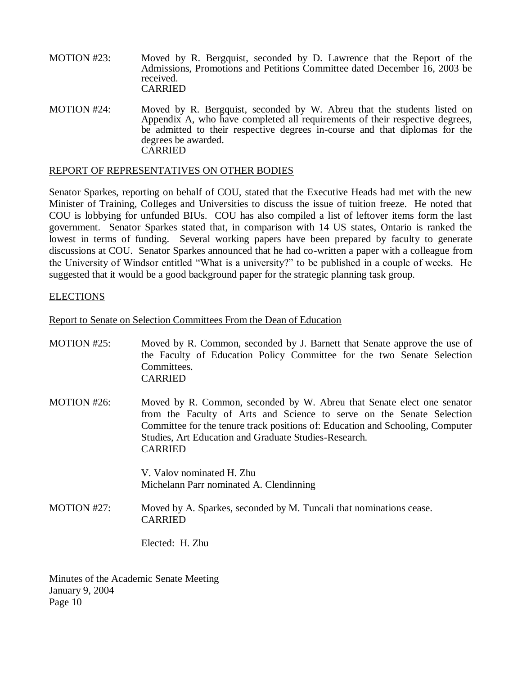- MOTION #23: Moved by R. Bergquist, seconded by D. Lawrence that the Report of the Admissions, Promotions and Petitions Committee dated December 16, 2003 be received. CARRIED
- MOTION #24: Moved by R. Bergquist, seconded by W. Abreu that the students listed on Appendix A, who have completed all requirements of their respective degrees, be admitted to their respective degrees in-course and that diplomas for the degrees be awarded. **CARRIED**

#### REPORT OF REPRESENTATIVES ON OTHER BODIES

Senator Sparkes, reporting on behalf of COU, stated that the Executive Heads had met with the new Minister of Training, Colleges and Universities to discuss the issue of tuition freeze. He noted that COU is lobbying for unfunded BIUs. COU has also compiled a list of leftover items form the last government. Senator Sparkes stated that, in comparison with 14 US states, Ontario is ranked the lowest in terms of funding. Several working papers have been prepared by faculty to generate discussions at COU. Senator Sparkes announced that he had co-written a paper with a colleague from the University of Windsor entitled "What is a university?" to be published in a couple of weeks. He suggested that it would be a good background paper for the strategic planning task group.

### **ELECTIONS**

Report to Senate on Selection Committees From the Dean of Education

| MOTION #25: | Moved by R. Common, seconded by J. Barnett that Senate approve the use of<br>the Faculty of Education Policy Committee for the two Senate Selection<br>Committees.<br><b>CARRIED</b>                                                                                                                         |
|-------------|--------------------------------------------------------------------------------------------------------------------------------------------------------------------------------------------------------------------------------------------------------------------------------------------------------------|
| MOTION #26: | Moved by R. Common, seconded by W. Abreu that Senate elect one senator<br>from the Faculty of Arts and Science to serve on the Senate Selection<br>Committee for the tenure track positions of: Education and Schooling, Computer<br>Studies, Art Education and Graduate Studies-Research.<br><b>CARRIED</b> |
|             | V. Valov nominated H. Zhu<br>Michelann Parr nominated A. Clendinning                                                                                                                                                                                                                                         |
|             |                                                                                                                                                                                                                                                                                                              |
| MOTION #27: | Moved by A. Sparkes, seconded by M. Tuncali that nominations cease.<br><b>CARRIED</b>                                                                                                                                                                                                                        |
|             | Elected: H. Zhu                                                                                                                                                                                                                                                                                              |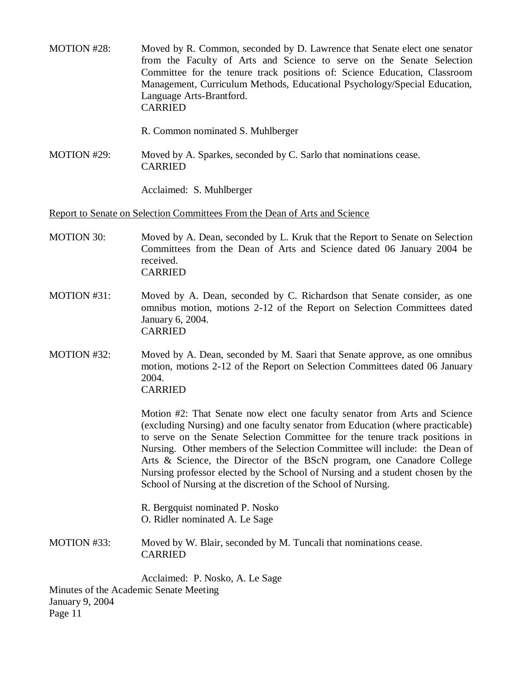- MOTION #28: Moved by R. Common, seconded by D. Lawrence that Senate elect one senator from the Faculty of Arts and Science to serve on the Senate Selection Committee for the tenure track positions of: Science Education, Classroom Management, Curriculum Methods, Educational Psychology/Special Education, Language Arts-Brantford. CARRIED
	- R. Common nominated S. Muhlberger
- MOTION #29: Moved by A. Sparkes, seconded by C. Sarlo that nominations cease. CARRIED

Acclaimed: S. Muhlberger

Report to Senate on Selection Committees From the Dean of Arts and Science

- MOTION 30: Moved by A. Dean, seconded by L. Kruk that the Report to Senate on Selection Committees from the Dean of Arts and Science dated 06 January 2004 be received. CARRIED
- MOTION #31: Moved by A. Dean, seconded by C. Richardson that Senate consider, as one omnibus motion, motions 2-12 of the Report on Selection Committees dated January 6, 2004. CARRIED
- MOTION #32: Moved by A. Dean, seconded by M. Saari that Senate approve, as one omnibus motion, motions 2-12 of the Report on Selection Committees dated 06 January 2004. CARRIED

Motion #2: That Senate now elect one faculty senator from Arts and Science (excluding Nursing) and one faculty senator from Education (where practicable) to serve on the Senate Selection Committee for the tenure track positions in Nursing. Other members of the Selection Committee will include: the Dean of Arts & Science, the Director of the BScN program, one Canadore College Nursing professor elected by the School of Nursing and a student chosen by the School of Nursing at the discretion of the School of Nursing.

R. Bergquist nominated P. Nosko O. Ridler nominated A. Le Sage

MOTION #33: Moved by W. Blair, seconded by M. Tuncali that nominations cease. CARRIED

Acclaimed: P. Nosko, A. Le Sage Minutes of the Academic Senate Meeting January 9, 2004

Page 11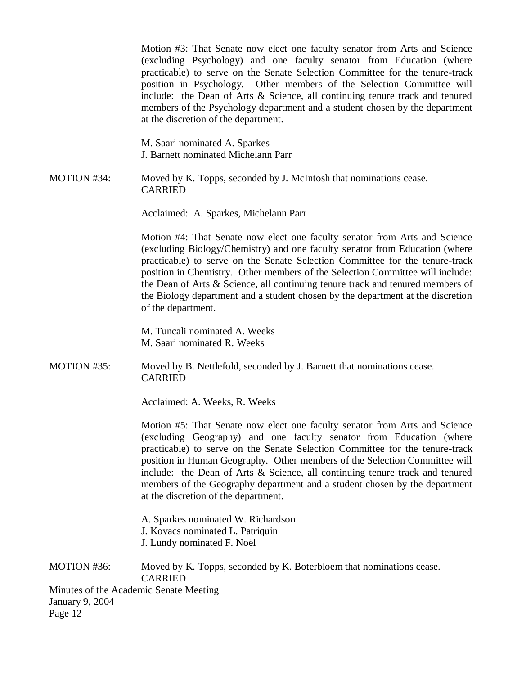Motion #3: That Senate now elect one faculty senator from Arts and Science (excluding Psychology) and one faculty senator from Education (where practicable) to serve on the Senate Selection Committee for the tenure-track position in Psychology. Other members of the Selection Committee will include: the Dean of Arts & Science, all continuing tenure track and tenured members of the Psychology department and a student chosen by the department at the discretion of the department.

M. Saari nominated A. Sparkes J. Barnett nominated Michelann Parr

MOTION #34: Moved by K. Topps, seconded by J. McIntosh that nominations cease. CARRIED

Acclaimed: A. Sparkes, Michelann Parr

Motion #4: That Senate now elect one faculty senator from Arts and Science (excluding Biology/Chemistry) and one faculty senator from Education (where practicable) to serve on the Senate Selection Committee for the tenure-track position in Chemistry. Other members of the Selection Committee will include: the Dean of Arts & Science, all continuing tenure track and tenured members of the Biology department and a student chosen by the department at the discretion of the department.

M. Tuncali nominated A. Weeks M. Saari nominated R. Weeks

MOTION #35: Moved by B. Nettlefold, seconded by J. Barnett that nominations cease. CARRIED

Acclaimed: A. Weeks, R. Weeks

Motion #5: That Senate now elect one faculty senator from Arts and Science (excluding Geography) and one faculty senator from Education (where practicable) to serve on the Senate Selection Committee for the tenure-track position in Human Geography. Other members of the Selection Committee will include: the Dean of Arts & Science, all continuing tenure track and tenured members of the Geography department and a student chosen by the department at the discretion of the department.

A. Sparkes nominated W. Richardson J. Kovacs nominated L. Patriquin

J. Lundy nominated F. Noël

MOTION #36: Moved by K. Topps, seconded by K. Boterbloem that nominations cease. CARRIED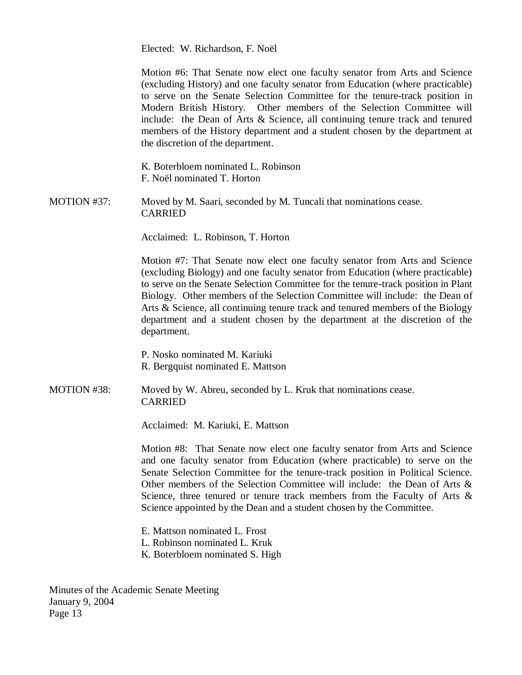Elected: W. Richardson, F. Noël

Motion #6: That Senate now elect one faculty senator from Arts and Science (excluding History) and one faculty senator from Education (where practicable) to serve on the Senate Selection Committee for the tenure-track position in Modern British History. Other members of the Selection Committee will include: the Dean of Arts & Science, all continuing tenure track and tenured members of the History department and a student chosen by the department at the discretion of the department.

K. Boterbloem nominated L. Robinson F. Noël nominated T. Horton

MOTION #37: Moved by M. Saari, seconded by M. Tuncali that nominations cease. CARRIED

Acclaimed: L. Robinson, T. Horton

Motion #7: That Senate now elect one faculty senator from Arts and Science (excluding Biology) and one faculty senator from Education (where practicable) to serve on the Senate Selection Committee for the tenure-track position in Plant Biology. Other members of the Selection Committee will include: the Dean of Arts & Science, all continuing tenure track and tenured members of the Biology department and a student chosen by the department at the discretion of the department.

P. Nosko nominated M. Kariuki R. Bergquist nominated E. Mattson

MOTION #38: Moved by W. Abreu, seconded by L. Kruk that nominations cease. CARRIED

Acclaimed: M. Kariuki, E. Mattson

Motion #8: That Senate now elect one faculty senator from Arts and Science and one faculty senator from Education (where practicable) to serve on the Senate Selection Committee for the tenure-track position in Political Science. Other members of the Selection Committee will include: the Dean of Arts  $\&$ Science, three tenured or tenure track members from the Faculty of Arts & Science appointed by the Dean and a student chosen by the Committee.

- E. Mattson nominated L. Frost
- L. Robinson nominated L. Kruk
- K. Boterbloem nominated S. High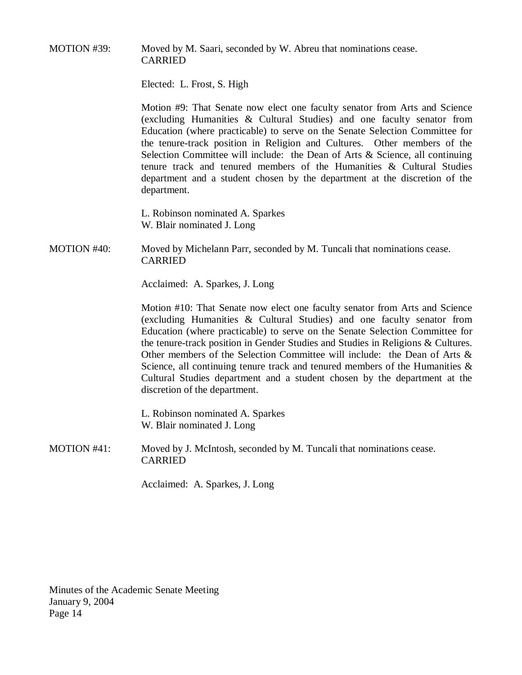MOTION #39: Moved by M. Saari, seconded by W. Abreu that nominations cease. CARRIED

Elected: L. Frost, S. High

Motion #9: That Senate now elect one faculty senator from Arts and Science (excluding Humanities & Cultural Studies) and one faculty senator from Education (where practicable) to serve on the Senate Selection Committee for the tenure-track position in Religion and Cultures. Other members of the Selection Committee will include: the Dean of Arts & Science, all continuing tenure track and tenured members of the Humanities & Cultural Studies department and a student chosen by the department at the discretion of the department.

L. Robinson nominated A. Sparkes W. Blair nominated J. Long

MOTION #40: Moved by Michelann Parr, seconded by M. Tuncali that nominations cease. CARRIED

Acclaimed: A. Sparkes, J. Long

Motion #10: That Senate now elect one faculty senator from Arts and Science (excluding Humanities & Cultural Studies) and one faculty senator from Education (where practicable) to serve on the Senate Selection Committee for the tenure-track position in Gender Studies and Studies in Religions & Cultures. Other members of the Selection Committee will include: the Dean of Arts  $\&$ Science, all continuing tenure track and tenured members of the Humanities  $\&$ Cultural Studies department and a student chosen by the department at the discretion of the department.

L. Robinson nominated A. Sparkes W. Blair nominated J. Long

MOTION #41: Moved by J. McIntosh, seconded by M. Tuncali that nominations cease. CARRIED

Acclaimed: A. Sparkes, J. Long